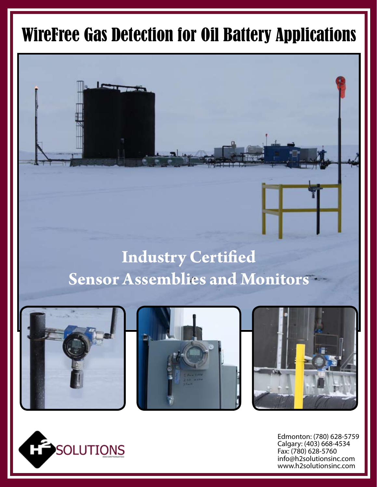## WireFree Gas Detection for Oil Battery Applications

## **Industry Certified Sensor Assemblies and Monitors**







Edmonton: (780) 628-5759 Calgary: (403) 668-4534 Fax: (780) 628-5760 info@h2solutionsinc.com www.h2solutionsinc.com